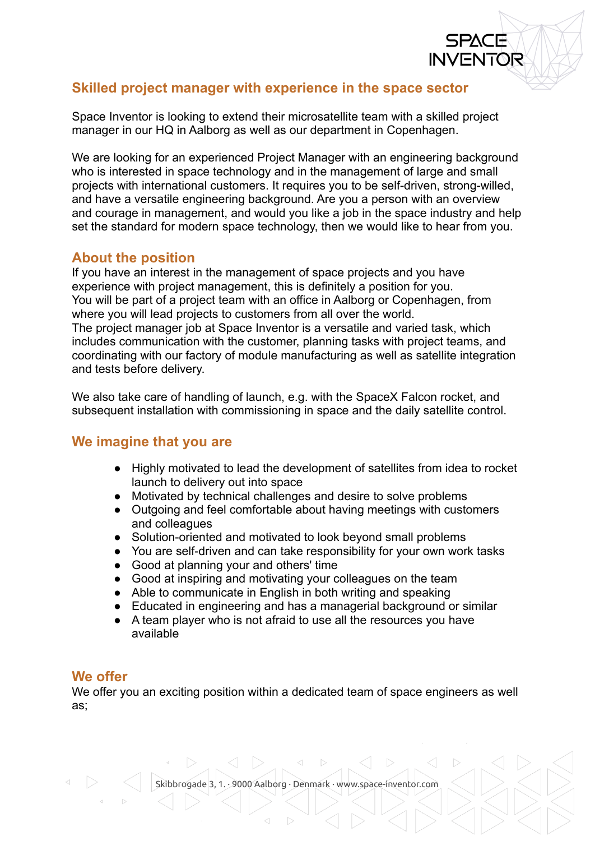# **Skilled project manager with experience in the space sector**

Space Inventor is looking to extend their microsatellite team with a skilled project manager in our HQ in Aalborg as well as our department in Copenhagen.

**INVENTOR** 

We are looking for an experienced Project Manager with an engineering background who is interested in space technology and in the management of large and small projects with international customers. It requires you to be self-driven, strong-willed, and have a versatile engineering background. Are you a person with an overview and courage in management, and would you like a job in the space industry and help set the standard for modern space technology, then we would like to hear from you.

### **About the position**

If you have an interest in the management of space projects and you have experience with project management, this is definitely a position for you. You will be part of a project team with an office in Aalborg or Copenhagen, from where you will lead projects to customers from all over the world. The project manager job at Space Inventor is a versatile and varied task, which includes communication with the customer, planning tasks with project teams, and coordinating with our factory of module manufacturing as well as satellite integration and tests before delivery.

We also take care of handling of launch, e.g. with the SpaceX Falcon rocket, and subsequent installation with commissioning in space and the daily satellite control.

### **We imagine that you are**

- Highly motivated to lead the development of satellites from idea to rocket launch to delivery out into space
- Motivated by technical challenges and desire to solve problems
- Outgoing and feel comfortable about having meetings with customers and colleagues
- Solution-oriented and motivated to look beyond small problems
- You are self-driven and can take responsibility for your own work tasks
- Good at planning your and others' time
- Good at inspiring and motivating your colleagues on the team
- Able to communicate in English in both writing and speaking
- Educated in engineering and has a managerial background or similar
- A team player who is not afraid to use all the resources you have available

#### **We offer**

We offer you an exciting position within a dedicated team of space engineers as well as;

Skibbrogade 3, 1. · 9000 Aalborg · Denmark · www.space-inventor.com